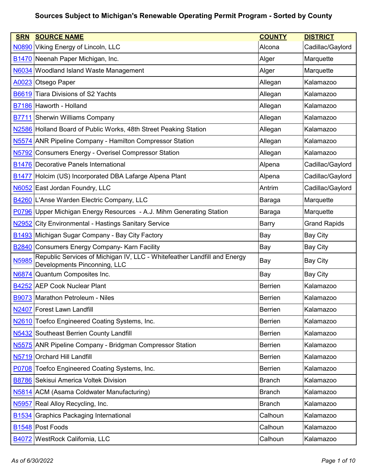| <b>SRN</b>        | <b>SOURCE NAME</b>                                                                                       | <b>COUNTY</b>  | <b>DISTRICT</b>     |
|-------------------|----------------------------------------------------------------------------------------------------------|----------------|---------------------|
| N0890             | Viking Energy of Lincoln, LLC                                                                            | Alcona         | Cadillac/Gaylord    |
|                   | B1470 Neenah Paper Michigan, Inc.                                                                        | Alger          | Marquette           |
| <b>N6034</b>      | <b>Woodland Island Waste Management</b>                                                                  | Alger          | Marquette           |
| A0023             | Otsego Paper                                                                                             | Allegan        | Kalamazoo           |
| B6619             | <b>Tiara Divisions of S2 Yachts</b>                                                                      | Allegan        | Kalamazoo           |
|                   | B7186 Haworth - Holland                                                                                  | Allegan        | Kalamazoo           |
| B7711             | Sherwin Williams Company                                                                                 | Allegan        | Kalamazoo           |
|                   | N2586 Holland Board of Public Works, 48th Street Peaking Station                                         | Allegan        | Kalamazoo           |
|                   | N5574 ANR Pipeline Company - Hamilton Compressor Station                                                 | Allegan        | Kalamazoo           |
| N5792             | <b>Consumers Energy - Overisel Compressor Station</b>                                                    | Allegan        | Kalamazoo           |
|                   | <b>B1476 Decorative Panels International</b>                                                             | Alpena         | Cadillac/Gaylord    |
| <b>B1477</b>      | Holcim (US) Incorporated DBA Lafarge Alpena Plant                                                        | Alpena         | Cadillac/Gaylord    |
| <b>N6052</b>      | East Jordan Foundry, LLC                                                                                 | Antrim         | Cadillac/Gaylord    |
|                   | B4260 L'Anse Warden Electric Company, LLC                                                                | Baraga         | Marquette           |
| P0796             | Upper Michigan Energy Resources - A.J. Mihm Generating Station                                           | Baraga         | Marquette           |
| N2952             | <b>City Environmental - Hastings Sanitary Service</b>                                                    | <b>Barry</b>   | <b>Grand Rapids</b> |
|                   | <b>B1493</b> Michigan Sugar Company - Bay City Factory                                                   | Bay            | <b>Bay City</b>     |
|                   | <b>B2840</b> Consumers Energy Company- Karn Facility                                                     | Bay            | Bay City            |
| N5985             | Republic Services of Michigan IV, LLC - Whitefeather Landfill and Energy<br>Developments Pinconning, LLC | Bay            | <b>Bay City</b>     |
| N6874             | Quantum Composites Inc.                                                                                  | Bay            | <b>Bay City</b>     |
|                   | B4252 AEP Cook Nuclear Plant                                                                             | <b>Berrien</b> | Kalamazoo           |
|                   | B9073 Marathon Petroleum - Niles                                                                         | <b>Berrien</b> | Kalamazoo           |
| N2407             | Forest Lawn Landfill                                                                                     | <b>Berrien</b> | Kalamazoo           |
| N <sub>2610</sub> | Toefco Engineered Coating Systems, Inc.                                                                  | <b>Berrien</b> | Kalamazoo           |
|                   | N5432 Southeast Berrien County Landfill                                                                  | <b>Berrien</b> | Kalamazoo           |
| N <sub>5575</sub> | <b>ANR Pipeline Company - Bridgman Compressor Station</b>                                                | <b>Berrien</b> | Kalamazoo           |
| N5719             | <b>Orchard Hill Landfill</b>                                                                             | <b>Berrien</b> | Kalamazoo           |
|                   | P0708 Toefco Engineered Coating Systems, Inc.                                                            | <b>Berrien</b> | Kalamazoo           |
|                   | B8786 Sekisui America Voltek Division                                                                    | <b>Branch</b>  | Kalamazoo           |
|                   | N5814 ACM (Asama Coldwater Manufacturing)                                                                | <b>Branch</b>  | Kalamazoo           |
| N <sub>5957</sub> | Real Alloy Recycling, Inc.                                                                               | <b>Branch</b>  | Kalamazoo           |
| B <sub>1534</sub> | <b>Graphics Packaging International</b>                                                                  | Calhoun        | Kalamazoo           |
|                   | B <sub>1548</sub> Post Foods                                                                             | Calhoun        | Kalamazoo           |
| B4072             | <b>WestRock California, LLC</b>                                                                          | Calhoun        | Kalamazoo           |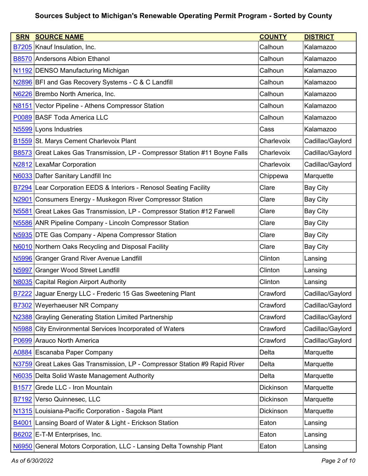| <b>SRN</b>        | <b>SOURCE NAME</b>                                                         | <b>COUNTY</b> | <b>DISTRICT</b>  |
|-------------------|----------------------------------------------------------------------------|---------------|------------------|
|                   | B7205 Knauf Insulation, Inc.                                               | Calhoun       | Kalamazoo        |
|                   | <b>B8570 Andersons Albion Ethanol</b>                                      | Calhoun       | Kalamazoo        |
|                   | N1192 DENSO Manufacturing Michigan                                         | Calhoun       | Kalamazoo        |
|                   | N2896 BFI and Gas Recovery Systems - C & C Landfill                        | Calhoun       | Kalamazoo        |
|                   | N6226 Brembo North America, Inc.                                           | Calhoun       | Kalamazoo        |
| N8151             | Vector Pipeline - Athens Compressor Station                                | Calhoun       | Kalamazoo        |
|                   | P0089 BASF Toda America LLC                                                | Calhoun       | Kalamazoo        |
|                   | N5599 Lyons Industries                                                     | Cass          | Kalamazoo        |
|                   | <b>B1559 St. Marys Cement Charlevoix Plant</b>                             | Charlevoix    | Cadillac/Gaylord |
| <b>B8573</b>      | Great Lakes Gas Transmission, LP - Compressor Station #11 Boyne Falls      | Charlevoix    | Cadillac/Gaylord |
|                   | N2812 LexaMar Corporation                                                  | Charlevoix    | Cadillac/Gaylord |
| N6033             | Dafter Sanitary Landfill Inc                                               | Chippewa      | Marquette        |
|                   | <b>B7294</b> Lear Corporation EEDS & Interiors - Renosol Seating Facility  | Clare         | <b>Bay City</b>  |
| N <sub>2901</sub> | Consumers Energy - Muskegon River Compressor Station                       | Clare         | <b>Bay City</b>  |
| N5581             | Great Lakes Gas Transmission, LP - Compressor Station #12 Farwell          | Clare         | <b>Bay City</b>  |
|                   | N5586 ANR Pipeline Company - Lincoln Compressor Station                    | Clare         | <b>Bay City</b>  |
|                   | N5935 DTE Gas Company - Alpena Compressor Station                          | Clare         | <b>Bay City</b>  |
|                   | N6010 Northern Oaks Recycling and Disposal Facility                        | Clare         | <b>Bay City</b>  |
|                   | N5996 Granger Grand River Avenue Landfill                                  | Clinton       | Lansing          |
| N5997             | <b>Granger Wood Street Landfill</b>                                        | Clinton       | Lansing          |
|                   | N8035 Capital Region Airport Authority                                     | Clinton       | Lansing          |
| <b>B7222</b>      | Jaguar Energy LLC - Frederic 15 Gas Sweetening Plant                       | Crawford      | Cadillac/Gaylord |
|                   | B7302 Weyerhaeuser NR Company                                              | Crawford      | Cadillac/Gaylord |
| <b>N2388</b>      | <b>Grayling Generating Station Limited Partnership</b>                     | Crawford      | Cadillac/Gaylord |
| <b>N5988</b>      | City Environmental Services Incorporated of Waters                         | Crawford      | Cadillac/Gaylord |
|                   | P0699 Arauco North America                                                 | Crawford      | Cadillac/Gaylord |
|                   | A0884 Escanaba Paper Company                                               | Delta         | Marquette        |
|                   | N3759 Great Lakes Gas Transmission, LP - Compressor Station #9 Rapid River | Delta         | Marquette        |
| <b>N6035</b>      | Delta Solid Waste Management Authority                                     | Delta         | Marquette        |
| <b>B1577</b>      | Grede LLC - Iron Mountain                                                  | Dickinson     | Marquette        |
| B7192             | Verso Quinnesec, LLC                                                       | Dickinson     | Marquette        |
|                   | N1315 Louisiana-Pacific Corporation - Sagola Plant                         | Dickinson     | Marquette        |
| B4001             | Lansing Board of Water & Light - Erickson Station                          | Eaton         | Lansing          |
|                   | B6202 E-T-M Enterprises, Inc.                                              | Eaton         | Lansing          |
| <b>N6950</b>      | General Motors Corporation, LLC - Lansing Delta Township Plant             | Eaton         | Lansing          |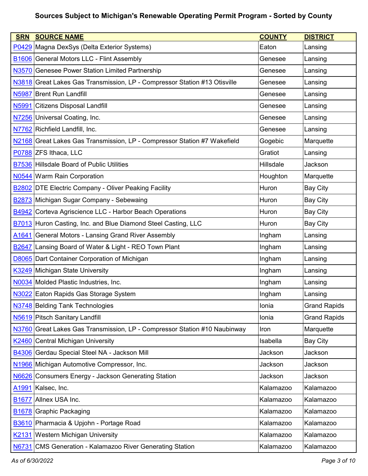| <b>SRN</b>        | <b>SOURCE NAME</b>                                                        | <b>COUNTY</b> | <b>DISTRICT</b>     |
|-------------------|---------------------------------------------------------------------------|---------------|---------------------|
|                   | P0429 Magna DexSys (Delta Exterior Systems)                               | Eaton         | Lansing             |
|                   | <b>B1606</b> General Motors LLC - Flint Assembly                          | Genesee       | Lansing             |
|                   | N3570 Genesee Power Station Limited Partnership                           | Genesee       | Lansing             |
|                   | N3818 Great Lakes Gas Transmission, LP - Compressor Station #13 Otisville | Genesee       | Lansing             |
|                   | N5987 Brent Run Landfill                                                  | Genesee       | Lansing             |
| <b>N5991</b>      | <b>Citizens Disposal Landfill</b>                                         | Genesee       | Lansing             |
|                   | N7256 Universal Coating, Inc.                                             | Genesee       | Lansing             |
|                   | N7762 Richfield Landfill, Inc.                                            | Genesee       | Lansing             |
|                   | N2168 Great Lakes Gas Transmission, LP - Compressor Station #7 Wakefield  | Gogebic       | Marquette           |
|                   | P0788 ZFS Ithaca, LLC                                                     | Gratiot       | Lansing             |
|                   | B7536 Hillsdale Board of Public Utilities                                 | Hillsdale     | Jackson             |
|                   | N0544 Warm Rain Corporation                                               | Houghton      | Marquette           |
|                   | <b>B2802 DTE Electric Company - Oliver Peaking Facility</b>               | Huron         | <b>Bay City</b>     |
|                   | B2873 Michigan Sugar Company - Sebewaing                                  | Huron         | <b>Bay City</b>     |
| B4942             | Corteva Agriscience LLC - Harbor Beach Operations                         | Huron         | <b>Bay City</b>     |
|                   | <b>B7013</b> Huron Casting, Inc. and Blue Diamond Steel Casting, LLC      | Huron         | <b>Bay City</b>     |
| A <sub>1641</sub> | <b>General Motors - Lansing Grand River Assembly</b>                      | Ingham        | Lansing             |
| B <sub>2647</sub> | Lansing Board of Water & Light - REO Town Plant                           | Ingham        | Lansing             |
| D8065             | Dart Container Corporation of Michigan                                    | Ingham        | Lansing             |
|                   | K3249 Michigan State University                                           | Ingham        | Lansing             |
|                   | N0034 Molded Plastic Industries, Inc.                                     | Ingham        | Lansing             |
|                   | N3022 Eaton Rapids Gas Storage System                                     | Ingham        | Lansing             |
|                   | N3748 Belding Tank Technologies                                           | Ionia         | <b>Grand Rapids</b> |
|                   | N5619 Pitsch Sanitary Landfill                                            | Ionia         | <b>Grand Rapids</b> |
|                   | N3760 Great Lakes Gas Transmission, LP - Compressor Station #10 Naubinway | Iron          | Marquette           |
|                   | K2460 Central Michigan University                                         | Isabella      | <b>Bay City</b>     |
| <b>B4306</b>      | Gerdau Special Steel NA - Jackson Mill                                    | Jackson       | Jackson             |
|                   | N1966 Michigan Automotive Compressor, Inc.                                | Jackson       | Jackson             |
| N6626             | Consumers Energy - Jackson Generating Station                             | Jackson       | Jackson             |
| A <sub>1991</sub> | Kalsec, Inc.                                                              | Kalamazoo     | Kalamazoo           |
| B <sub>1677</sub> | Allnex USA Inc.                                                           | Kalamazoo     | Kalamazoo           |
| <b>B1678</b>      | <b>Graphic Packaging</b>                                                  | Kalamazoo     | Kalamazoo           |
|                   | B3610 Pharmacia & Upjohn - Portage Road                                   | Kalamazoo     | Kalamazoo           |
|                   | K2131 Western Michigan University                                         | Kalamazoo     | Kalamazoo           |
| <b>N6731</b>      | <b>CMS Generation - Kalamazoo River Generating Station</b>                | Kalamazoo     | Kalamazoo           |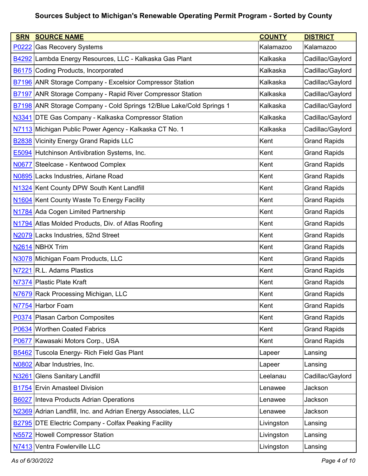| <b>SRN</b>        | <b>SOURCE NAME</b>                                                          | <b>COUNTY</b> | <b>DISTRICT</b>     |
|-------------------|-----------------------------------------------------------------------------|---------------|---------------------|
| P0222             | <b>Gas Recovery Systems</b>                                                 | Kalamazoo     | Kalamazoo           |
| B4292             | Lambda Energy Resources, LLC - Kalkaska Gas Plant                           | Kalkaska      | Cadillac/Gaylord    |
| <b>B6175</b>      | Coding Products, Incorporated                                               | Kalkaska      | Cadillac/Gaylord    |
|                   | <b>B7196 ANR Storage Company - Excelsior Compressor Station</b>             | Kalkaska      | Cadillac/Gaylord    |
|                   | <b>B7197 ANR Storage Company - Rapid River Compressor Station</b>           | Kalkaska      | Cadillac/Gaylord    |
|                   | <b>B7198</b> ANR Storage Company - Cold Springs 12/Blue Lake/Cold Springs 1 | Kalkaska      | Cadillac/Gaylord    |
|                   | N3341 DTE Gas Company - Kalkaska Compressor Station                         | Kalkaska      | Cadillac/Gaylord    |
|                   | N7113 Michigan Public Power Agency - Kalkaska CT No. 1                      | Kalkaska      | Cadillac/Gaylord    |
|                   | <b>B2838 Vicinity Energy Grand Rapids LLC</b>                               | Kent          | <b>Grand Rapids</b> |
|                   | <b>E5094</b> Hutchinson Antivibration Systems, Inc.                         | Kent          | <b>Grand Rapids</b> |
| N0677             | Steelcase - Kentwood Complex                                                | Kent          | <b>Grand Rapids</b> |
|                   | N0895 Lacks Industries, Airlane Road                                        | Kent          | <b>Grand Rapids</b> |
|                   | N1324 Kent County DPW South Kent Landfill                                   | Kent          | <b>Grand Rapids</b> |
|                   | N1604 Kent County Waste To Energy Facility                                  | Kent          | <b>Grand Rapids</b> |
|                   | N1784 Ada Cogen Limited Partnership                                         | Kent          | <b>Grand Rapids</b> |
|                   | N1794 Atlas Molded Products, Div. of Atlas Roofing                          | Kent          | <b>Grand Rapids</b> |
|                   | N2079 Lacks Industries, 52nd Street                                         | Kent          | <b>Grand Rapids</b> |
|                   | N2614 NBHX Trim                                                             | Kent          | <b>Grand Rapids</b> |
|                   | N3078 Michigan Foam Products, LLC                                           | Kent          | <b>Grand Rapids</b> |
|                   | N7221 R.L. Adams Plastics                                                   | Kent          | <b>Grand Rapids</b> |
|                   | N7374 Plastic Plate Kraft                                                   | Kent          | <b>Grand Rapids</b> |
|                   | N7679 Rack Processing Michigan, LLC                                         | Kent          | <b>Grand Rapids</b> |
|                   | N7754 Harbor Foam                                                           | Kent          | <b>Grand Rapids</b> |
|                   | P0374 Plasan Carbon Composites                                              | Kent          | <b>Grand Rapids</b> |
|                   | P0634 Worthen Coated Fabrics                                                | Kent          | <b>Grand Rapids</b> |
| P0677             | Kawasaki Motors Corp., USA                                                  | Kent          | <b>Grand Rapids</b> |
| <b>B5462</b>      | Tuscola Energy- Rich Field Gas Plant                                        | Lapeer        | Lansing             |
|                   | N0802 Albar Industries, Inc.                                                | Lapeer        | Lansing             |
| N3261             | <b>Glens Sanitary Landfill</b>                                              | Leelanau      | Cadillac/Gaylord    |
|                   | <b>B1754 Ervin Amasteel Division</b>                                        | Lenawee       | Jackson             |
| B6027             | <b>Inteva Products Adrian Operations</b>                                    | Lenawee       | Jackson             |
|                   | N2369 Adrian Landfill, Inc. and Adrian Energy Associates, LLC               | Lenawee       | Jackson             |
| <b>B2795</b>      | <b>DTE Electric Company - Colfax Peaking Facility</b>                       | Livingston    | Lansing             |
| N <sub>5572</sub> | <b>Howell Compressor Station</b>                                            | Livingston    | Lansing             |
| N7413             | Ventra Fowlerville LLC                                                      | Livingston    | Lansing             |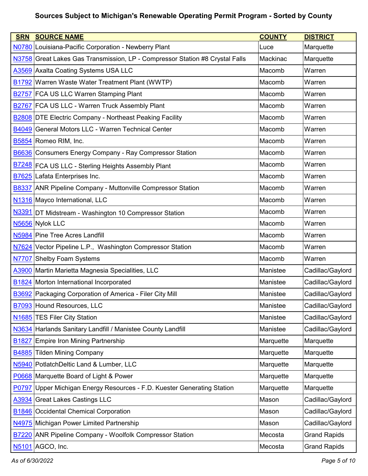| <b>SRN</b>        | <b>SOURCE NAME</b>                                                           | <b>COUNTY</b> | <b>DISTRICT</b>     |
|-------------------|------------------------------------------------------------------------------|---------------|---------------------|
|                   | N0780 Louisiana-Pacific Corporation - Newberry Plant                         | Luce          | Marquette           |
|                   | N3758 Great Lakes Gas Transmission, LP - Compressor Station #8 Crystal Falls | Mackinac      | Marquette           |
|                   | A3569 Axalta Coating Systems USA LLC                                         | Macomb        | Warren              |
| <b>B1792</b>      | Warren Waste Water Treatment Plant (WWTP)                                    | Macomb        | Warren              |
|                   | B2757 FCA US LLC Warren Stamping Plant                                       | Macomb        | Warren              |
|                   | B2767 FCA US LLC - Warren Truck Assembly Plant                               | Macomb        | Warren              |
|                   | <b>B2808 DTE Electric Company - Northeast Peaking Facility</b>               | Macomb        | Warren              |
|                   | B4049 General Motors LLC - Warren Technical Center                           | Macomb        | Warren              |
|                   | B5854 Romeo RIM, Inc.                                                        | Macomb        | Warren              |
|                   | <b>B6636</b> Consumers Energy Company - Ray Compressor Station               | Macomb        | Warren              |
|                   | B7248 FCA US LLC - Sterling Heights Assembly Plant                           | Macomb        | Warren              |
|                   | <b>B7625</b> Lafata Enterprises Inc.                                         | Macomb        | Warren              |
|                   | <b>B8337 ANR Pipeline Company - Muttonville Compressor Station</b>           | Macomb        | Warren              |
|                   | N1316 Mayco International, LLC                                               | Macomb        | Warren              |
| N3391             | DT Midstream - Washington 10 Compressor Station                              | Macomb        | Warren              |
|                   | N5656 Nylok LLC                                                              | Macomb        | Warren              |
|                   | N5984 Pine Tree Acres Landfill                                               | Macomb        | Warren              |
| N7624             | Vector Pipeline L.P., Washington Compressor Station                          | Macomb        | Warren              |
|                   | N7707 Shelby Foam Systems                                                    | Macomb        | Warren              |
|                   | A3900 Martin Marietta Magnesia Specialities, LLC                             | Manistee      | Cadillac/Gaylord    |
|                   | <b>B1824</b> Morton International Incorporated                               | Manistee      | Cadillac/Gaylord    |
|                   | B3692 Packaging Corporation of America - Filer City Mill                     | Manistee      | Cadillac/Gaylord    |
|                   | B7093 Hound Resources, LLC                                                   | Manistee      | Cadillac/Gaylord    |
| N <sub>1685</sub> | <b>TES Filer City Station</b>                                                | Manistee      | Cadillac/Gaylord    |
| N3634             | Harlands Sanitary Landfill / Manistee County Landfill                        | Manistee      | Cadillac/Gaylord    |
| B <sub>1827</sub> | Empire Iron Mining Partnership                                               | Marquette     | Marquette           |
| B4885             | <b>Tilden Mining Company</b>                                                 | Marquette     | Marquette           |
|                   | N5940 PotlatchDeltic Land & Lumber, LLC                                      | Marquette     | Marquette           |
|                   | P0668 Marquette Board of Light & Power                                       | Marquette     | Marquette           |
| P0797             | Upper Michigan Energy Resources - F.D. Kuester Generating Station            | Marquette     | Marquette           |
| A3934             | <b>Great Lakes Castings LLC</b>                                              | Mason         | Cadillac/Gaylord    |
| <b>B1846</b>      | <b>Occidental Chemical Corporation</b>                                       | Mason         | Cadillac/Gaylord    |
| N4975             | Michigan Power Limited Partnership                                           | Mason         | Cadillac/Gaylord    |
| <b>B7220</b>      | <b>ANR Pipeline Company - Woolfolk Compressor Station</b>                    | Mecosta       | <b>Grand Rapids</b> |
| N5101             | AGCO, Inc.                                                                   | Mecosta       | <b>Grand Rapids</b> |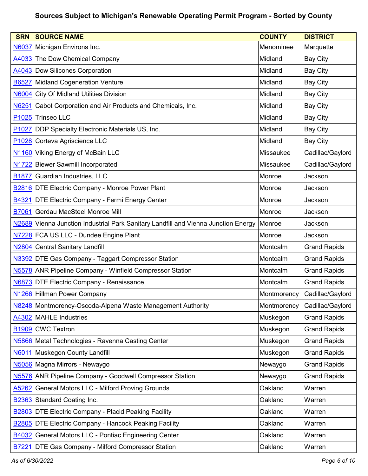| <b>SRN</b>        | <b>SOURCE NAME</b>                                                                 | <b>COUNTY</b>    | <b>DISTRICT</b>     |
|-------------------|------------------------------------------------------------------------------------|------------------|---------------------|
| <b>N6037</b>      | Michigan Environs Inc.                                                             | Menominee        | Marquette           |
|                   | A4033 The Dow Chemical Company                                                     | Midland          | <b>Bay City</b>     |
|                   | A4043 Dow Silicones Corporation                                                    | Midland          | <b>Bay City</b>     |
| B6527             | <b>Midland Cogeneration Venture</b>                                                | Midland          | <b>Bay City</b>     |
| <b>N6004</b>      | <b>City Of Midland Utilities Division</b>                                          | Midland          | <b>Bay City</b>     |
| N6251             | Cabot Corporation and Air Products and Chemicals, Inc.                             | Midland          | <b>Bay City</b>     |
|                   | P1025 Trinseo LLC                                                                  | Midland          | <b>Bay City</b>     |
| P <sub>1027</sub> | <b>DDP Specialty Electronic Materials US, Inc.</b>                                 | Midland          | <b>Bay City</b>     |
|                   | P1028 Corteva Agriscience LLC                                                      | Midland          | <b>Bay City</b>     |
|                   | N1160 Viking Energy of McBain LLC                                                  | Missaukee        | Cadillac/Gaylord    |
|                   | N1722 Biewer Sawmill Incorporated                                                  | <b>Missaukee</b> | Cadillac/Gaylord    |
| <b>B1877</b>      | Guardian Industries, LLC                                                           | Monroe           | Jackson             |
|                   | <b>B2816 DTE Electric Company - Monroe Power Plant</b>                             | Monroe           | Jackson             |
|                   | <b>B4321 DTE Electric Company - Fermi Energy Center</b>                            | Monroe           | Jackson             |
| <b>B7061</b>      | Gerdau MacSteel Monroe Mill                                                        | Monroe           | Jackson             |
|                   | N2689 Vienna Junction Industrial Park Sanitary Landfill and Vienna Junction Energy | Monroe           | Jackson             |
|                   | N7228 FCA US LLC - Dundee Engine Plant                                             | Monroe           | Jackson             |
|                   | N2804 Central Sanitary Landfill                                                    | Montcalm         | <b>Grand Rapids</b> |
|                   | N3392 DTE Gas Company - Taggart Compressor Station                                 | Montcalm         | <b>Grand Rapids</b> |
|                   | N5578 ANR Pipeline Company - Winfield Compressor Station                           | Montcalm         | <b>Grand Rapids</b> |
|                   | N6873 DTE Electric Company - Renaissance                                           | Montcalm         | <b>Grand Rapids</b> |
|                   | N1266 Hillman Power Company                                                        | Montmorency      | Cadillac/Gaylord    |
|                   | N8248 Montmorency-Oscoda-Alpena Waste Management Authority                         | Montmorency      | Cadillac/Gaylord    |
|                   | A4302 MAHLE Industries                                                             | Muskegon         | <b>Grand Rapids</b> |
|                   | <b>B1909</b> CWC Textron                                                           | Muskegon         | <b>Grand Rapids</b> |
|                   | N5866 Metal Technologies - Ravenna Casting Center                                  | Muskegon         | <b>Grand Rapids</b> |
| N6011             | <b>Muskegon County Landfill</b>                                                    | Muskegon         | <b>Grand Rapids</b> |
|                   | N5056 Magna Mirrors - Newaygo                                                      | Newaygo          | <b>Grand Rapids</b> |
|                   | N5576 ANR Pipeline Company - Goodwell Compressor Station                           | Newaygo          | <b>Grand Rapids</b> |
| A5262             | <b>General Motors LLC - Milford Proving Grounds</b>                                | Oakland          | Warren              |
|                   | <b>B2363</b> Standard Coating Inc.                                                 | Oakland          | Warren              |
| B <sub>2803</sub> | <b>DTE Electric Company - Placid Peaking Facility</b>                              | Oakland          | Warren              |
|                   | <b>B2805 DTE Electric Company - Hancock Peaking Facility</b>                       | Oakland          | Warren              |
| B4032             | General Motors LLC - Pontiac Engineering Center                                    | Oakland          | Warren              |
| B7221             | <b>DTE Gas Company - Milford Compressor Station</b>                                | Oakland          | Warren              |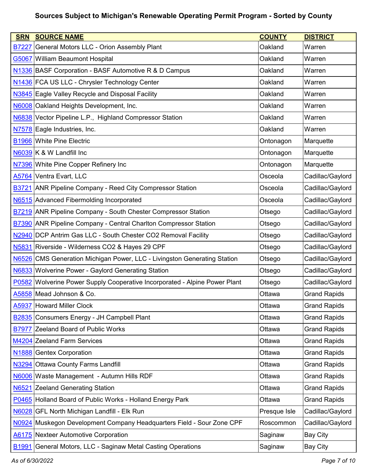| <b>SRN</b>        | <b>SOURCE NAME</b>                                                         | <b>COUNTY</b> | <b>DISTRICT</b>     |
|-------------------|----------------------------------------------------------------------------|---------------|---------------------|
| <b>B7227</b>      | General Motors LLC - Orion Assembly Plant                                  | Oakland       | Warren              |
| G5067             | <b>William Beaumont Hospital</b>                                           | Oakland       | Warren              |
|                   | N1336 BASF Corporation - BASF Automotive R & D Campus                      | Oakland       | Warren              |
|                   | N1436 FCA US LLC - Chrysler Technology Center                              | Oakland       | Warren              |
|                   | N3845 Eagle Valley Recycle and Disposal Facility                           | Oakland       | Warren              |
|                   | N6008 Oakland Heights Development, Inc.                                    | Oakland       | Warren              |
|                   | N6838 Vector Pipeline L.P., Highland Compressor Station                    | Oakland       | Warren              |
|                   | N7578 Eagle Industries, Inc.                                               | Oakland       | Warren              |
|                   | <b>B1966 White Pine Electric</b>                                           | Ontonagon     | Marquette           |
|                   | N6039 K & W Landfill Inc                                                   | Ontonagon     | Marquette           |
|                   | N7396 White Pine Copper Refinery Inc                                       | Ontonagon     | Marquette           |
| A5764             | Ventra Evart, LLC                                                          | Osceola       | Cadillac/Gaylord    |
|                   | B3721 ANR Pipeline Company - Reed City Compressor Station                  | Osceola       | Cadillac/Gaylord    |
|                   | N6515 Advanced Fibermolding Incorporated                                   | Osceola       | Cadillac/Gaylord    |
|                   | <b>B7219 ANR Pipeline Company - South Chester Compressor Station</b>       | Otsego        | Cadillac/Gaylord    |
|                   | <b>B7390</b> ANR Pipeline Company - Central Charlton Compressor Station    | Otsego        | Cadillac/Gaylord    |
|                   | N2940 DCP Antrim Gas LLC - South Chester CO2 Removal Facility              | Otsego        | Cadillac/Gaylord    |
| N5831             | Riverside - Wilderness CO2 & Hayes 29 CPF                                  | Otsego        | Cadillac/Gaylord    |
| N6526             | CMS Generation Michigan Power, LLC - Livingston Generating Station         | Otsego        | Cadillac/Gaylord    |
|                   | N6833 Wolverine Power - Gaylord Generating Station                         | Otsego        | Cadillac/Gaylord    |
|                   | P0582 Wolverine Power Supply Cooperative Incorporated - Alpine Power Plant | Otsego        | Cadillac/Gaylord    |
|                   | A5858 Mead Johnson & Co.                                                   | Ottawa        | <b>Grand Rapids</b> |
| A5937             | <b>Howard Miller Clock</b>                                                 | Ottawa        | <b>Grand Rapids</b> |
| <b>B2835</b>      | Consumers Energy - JH Campbell Plant                                       | Ottawa        | <b>Grand Rapids</b> |
| <b>B7977</b>      | Zeeland Board of Public Works                                              | Ottawa        | <b>Grand Rapids</b> |
|                   | M4204 Zeeland Farm Services                                                | Ottawa        | <b>Grand Rapids</b> |
| N <sub>1888</sub> | <b>Gentex Corporation</b>                                                  | Ottawa        | <b>Grand Rapids</b> |
| N3294             | <b>Ottawa County Farms Landfill</b>                                        | Ottawa        | <b>Grand Rapids</b> |
|                   | N6006 Waste Management - Autumn Hills RDF                                  | Ottawa        | <b>Grand Rapids</b> |
| N6521             | <b>Zeeland Generating Station</b>                                          | Ottawa        | <b>Grand Rapids</b> |
|                   | P0465 Holland Board of Public Works - Holland Energy Park                  | Ottawa        | <b>Grand Rapids</b> |
| N6028             | <b>GFL North Michigan Landfill - Elk Run</b>                               | Presque Isle  | Cadillac/Gaylord    |
| N0924             | Muskegon Development Company Headquarters Field - Sour Zone CPF            | Roscommon     | Cadillac/Gaylord    |
|                   | A6175 Nexteer Automotive Corporation                                       | Saginaw       | <b>Bay City</b>     |
| B <sub>1991</sub> | General Motors, LLC - Saginaw Metal Casting Operations                     | Saginaw       | <b>Bay City</b>     |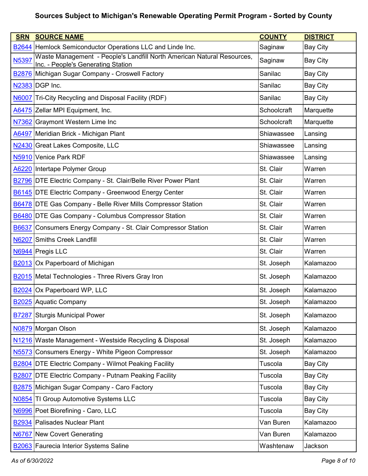| <b>SRN</b>   | <b>SOURCE NAME</b>                                                                                           | <b>COUNTY</b> | <b>DISTRICT</b> |
|--------------|--------------------------------------------------------------------------------------------------------------|---------------|-----------------|
| <b>B2644</b> | Hemlock Semiconductor Operations LLC and Linde Inc.                                                          | Saginaw       | <b>Bay City</b> |
| N5397        | Waste Management - People's Landfill North American Natural Resources,<br>Inc. - People's Generating Station | Saginaw       | <b>Bay City</b> |
|              | <b>B2876</b> Michigan Sugar Company - Croswell Factory                                                       | Sanilac       | <b>Bay City</b> |
|              | N2383 DGP Inc.                                                                                               | Sanilac       | <b>Bay City</b> |
|              | N6007 Tri-City Recycling and Disposal Facility (RDF)                                                         | Sanilac       | <b>Bay City</b> |
|              | A6475 Zellar MPI Equipment, Inc.                                                                             | Schoolcraft   | Marquette       |
|              | N7362 Graymont Western Lime Inc                                                                              | Schoolcraft   | Marquette       |
|              | A6497 Meridian Brick - Michigan Plant                                                                        | Shiawassee    | Lansing         |
|              | N2430 Great Lakes Composite, LLC                                                                             | Shiawassee    | Lansing         |
|              | N5910 Venice Park RDF                                                                                        | Shiawassee    | Lansing         |
|              | A6220 Intertape Polymer Group                                                                                | St. Clair     | Warren          |
|              | <b>B2796 DTE Electric Company - St. Clair/Belle River Power Plant</b>                                        | St. Clair     | Warren          |
|              | B6145 DTE Electric Company - Greenwood Energy Center                                                         | St. Clair     | Warren          |
|              | <b>B6478 DTE Gas Company - Belle River Mills Compressor Station</b>                                          | St. Clair     | Warren          |
|              | <b>B6480 DTE Gas Company - Columbus Compressor Station</b>                                                   | St. Clair     | Warren          |
| B6637        | Consumers Energy Company - St. Clair Compressor Station                                                      | St. Clair     | Warren          |
| N6207        | Smiths Creek Landfill                                                                                        | St. Clair     | Warren          |
|              | N6944 Pregis LLC                                                                                             | St. Clair     | Warren          |
| <b>B2013</b> | Ox Paperboard of Michigan                                                                                    | St. Joseph    | Kalamazoo       |
|              | <b>B2015</b> Metal Technologies - Three Rivers Gray Iron                                                     | St. Joseph    | Kalamazoo       |
|              | B2024 Ox Paperboard WP, LLC                                                                                  | St. Joseph    | Kalamazoo       |
|              | B2025 Aquatic Company                                                                                        | St. Joseph    | Kalamazoo       |
|              | <b>B7287</b> Sturgis Municipal Power                                                                         | St. Joseph    | Kalamazoo       |
|              | N0879 Morgan Olson                                                                                           | St. Joseph    | Kalamazoo       |
|              | N1216 Waste Management - Westside Recycling & Disposal                                                       | St. Joseph    | Kalamazoo       |
|              | N5573 Consumers Energy - White Pigeon Compressor                                                             | St. Joseph    | Kalamazoo       |
|              | <b>B2804 DTE Electric Company - Wilmot Peaking Facility</b>                                                  | Tuscola       | <b>Bay City</b> |
| <b>B2807</b> | <b>DTE Electric Company - Putnam Peaking Facility</b>                                                        | Tuscola       | <b>Bay City</b> |
|              | B2875 Michigan Sugar Company - Caro Factory                                                                  | Tuscola       | <b>Bay City</b> |
|              | N0854 TI Group Automotive Systems LLC                                                                        | Tuscola       | <b>Bay City</b> |
|              | N6996 Poet Biorefining - Caro, LLC                                                                           | Tuscola       | <b>Bay City</b> |
|              | <b>B2934 Palisades Nuclear Plant</b>                                                                         | Van Buren     | Kalamazoo       |
| <b>N6767</b> | <b>New Covert Generating</b>                                                                                 | Van Buren     | Kalamazoo       |
|              | <b>B2063</b> Faurecia Interior Systems Saline                                                                | Washtenaw     | Jackson         |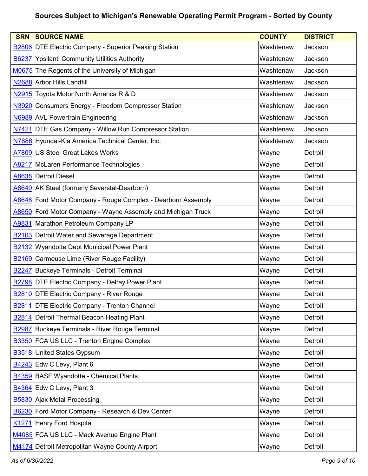| <b>SRN</b>        | <b>SOURCE NAME</b>                                           | <b>COUNTY</b> | <b>DISTRICT</b> |
|-------------------|--------------------------------------------------------------|---------------|-----------------|
|                   | <b>B2806 DTE Electric Company - Superior Peaking Station</b> | Washtenaw     | Jackson         |
| <b>B6237</b>      | <b>Ypsilanti Community Utilities Authority</b>               | Washtenaw     | Jackson         |
|                   | M0675 The Regents of the University of Michigan              | Washtenaw     | Jackson         |
|                   | N2688 Arbor Hills Landfill                                   | Washtenaw     | Jackson         |
|                   | N2915 Toyota Motor North America R & D                       | Washtenaw     | Jackson         |
|                   | N3920 Consumers Energy - Freedom Compressor Station          | Washtenaw     | Jackson         |
|                   | N6989 AVL Powertrain Engineering                             | Washtenaw     | Jackson         |
|                   | N7421 DTE Gas Company - Willow Run Compressor Station        | Washtenaw     | Jackson         |
|                   | N7886 Hyundai-Kia America Technical Center, Inc.             | Washtenaw     | Jackson         |
|                   | A7809 US Steel Great Lakes Works                             | Wayne         | Detroit         |
|                   | A8217 McLaren Performance Technologies                       | Wayne         | Detroit         |
|                   | A8638 Detroit Diesel                                         | Wayne         | <b>Detroit</b>  |
|                   | A8640 AK Steel (formerly Severstal-Dearborn)                 | Wayne         | Detroit         |
|                   | A8648 Ford Motor Company - Rouge Complex - Dearborn Assembly | Wayne         | Detroit         |
| A8650             | Ford Motor Company - Wayne Assembly and Michigan Truck       | Wayne         | Detroit         |
| A9831             | Marathon Petroleum Company LP                                | Wayne         | Detroit         |
|                   | <b>B2103</b> Detroit Water and Sewerage Department           | Wayne         | Detroit         |
|                   | <b>B2132</b> Wyandotte Dept Municipal Power Plant            | Wayne         | Detroit         |
|                   | <b>B2169</b> Carmeuse Lime (River Rouge Facility)            | Wayne         | Detroit         |
|                   | <b>B2247</b> Buckeye Terminals - Detroit Terminal            | Wayne         | Detroit         |
|                   | <b>B2798 DTE Electric Company - Delray Power Plant</b>       | Wayne         | Detroit         |
|                   | <b>B2810 DTE Electric Company - River Rouge</b>              | Wayne         | Detroit         |
| <b>B2811</b>      | <b>DTE Electric Company - Trenton Channel</b>                | Wayne         | Detroit         |
|                   | B2814 Detroit Thermal Beacon Heating Plant                   | Wayne         | Detroit         |
| <b>B2987</b>      | Buckeye Terminals - River Rouge Terminal                     | Wayne         | Detroit         |
|                   | <b>B3350 FCA US LLC - Trenton Engine Complex</b>             | Wayne         | Detroit         |
| <b>B3518</b>      | <b>United States Gypsum</b>                                  | Wayne         | Detroit         |
|                   | B4243 Edw C Levy, Plant 6                                    | Wayne         | Detroit         |
|                   | <b>B4359 BASF Wyandotte - Chemical Plants</b>                | Wayne         | Detroit         |
|                   | B4364 Edw C Levy, Plant 3                                    | Wayne         | Detroit         |
|                   | <b>B5830</b> Ajax Metal Processing                           | Wayne         | Detroit         |
| B6230             | Ford Motor Company - Research & Dev Center                   | Wayne         | Detroit         |
| K <sub>1271</sub> | Henry Ford Hospital                                          | Wayne         | Detroit         |
|                   | M4085 FCA US LLC - Mack Avenue Engine Plant                  | Wayne         | Detroit         |
|                   | M4174 Detroit Metropolitan Wayne County Airport              | Wayne         | Detroit         |